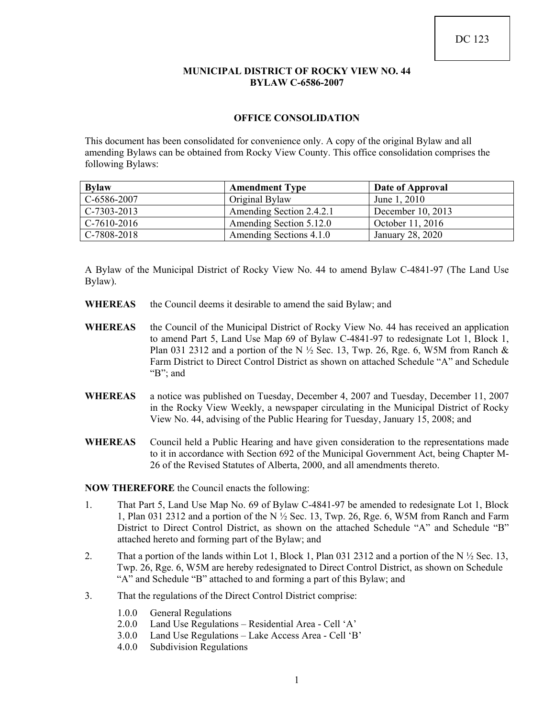#### **MUNICIPAL DISTRICT OF ROCKY VIEW NO. 44 BYLAW C-6586-2007**

### **OFFICE CONSOLIDATION**

This document has been consolidated for convenience only. A copy of the original Bylaw and all amending Bylaws can be obtained from Rocky View County. This office consolidation comprises the following Bylaws:

| <b>Bylaw</b>  | <b>Amendment Type</b>    | Date of Approval  |
|---------------|--------------------------|-------------------|
| C-6586-2007   | Original Bylaw           | June 1, 2010      |
| $C-7303-2013$ | Amending Section 2.4.2.1 | December 10, 2013 |
| $C-7610-2016$ | Amending Section 5.12.0  | October 11, 2016  |
| C-7808-2018   | Amending Sections 4.1.0  | January 28, 2020  |

A Bylaw of the Municipal District of Rocky View No. 44 to amend Bylaw C-4841-97 (The Land Use Bylaw).

- WHEREAS the Council deems it desirable to amend the said Bylaw; and
- WHEREAS the Council of the Municipal District of Rocky View No. 44 has received an application to amend Part 5, Land Use Map 69 of Bylaw C-4841-97 to redesignate Lot 1, Block 1, Plan 031 2312 and a portion of the N  $\frac{1}{2}$  Sec. 13, Twp. 26, Rge. 6, W5M from Ranch & Farm District to Direct Control District as shown on attached Schedule "A" and Schedule "B"; and
- **WHEREAS** a notice was published on Tuesday, December 4, 2007 and Tuesday, December 11, 2007 in the Rocky View Weekly, a newspaper circulating in the Municipal District of Rocky View No. 44, advising of the Public Hearing for Tuesday, January 15, 2008; and
- **WHEREAS** Council held a Public Hearing and have given consideration to the representations made to it in accordance with Section 692 of the Municipal Government Act, being Chapter M-26 of the Revised Statutes of Alberta, 2000, and all amendments thereto.

**NOW THEREFORE** the Council enacts the following:

- 1. That Part 5, Land Use Map No. 69 of Bylaw C-4841-97 be amended to redesignate Lot 1, Block 1, Plan 031 2312 and a portion of the N ½ Sec. 13, Twp. 26, Rge. 6, W5M from Ranch and Farm District to Direct Control District, as shown on the attached Schedule "A" and Schedule "B" attached hereto and forming part of the Bylaw; and
- 2. That a portion of the lands within Lot 1, Block 1, Plan 031 2312 and a portion of the N  $\frac{1}{2}$  Sec. 13, Twp. 26, Rge. 6, W5M are hereby redesignated to Direct Control District, as shown on Schedule "A" and Schedule "B" attached to and forming a part of this Bylaw; and
- 3. That the regulations of the Direct Control District comprise:
	- 1.0.0 General Regulations
	- 2.0.0 Land Use Regulations Residential Area Cell 'A'
	- 3.0.0 Land Use Regulations Lake Access Area Cell 'B'
	- 4.0.0 Subdivision Regulations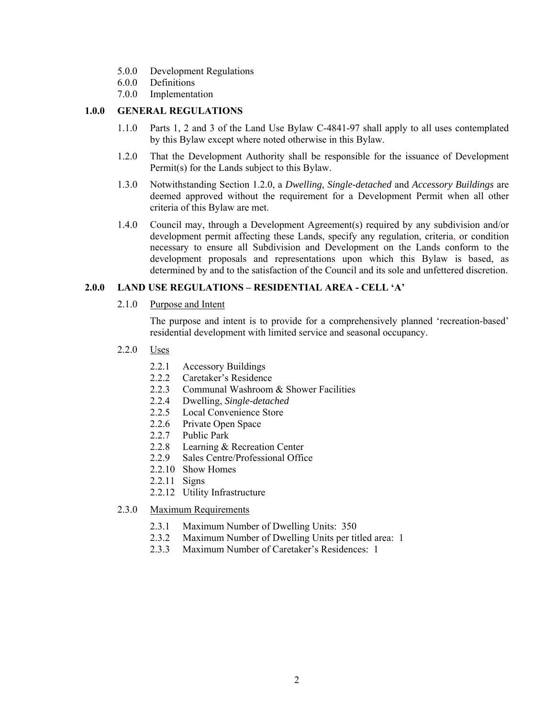- 5.0.0 Development Regulations
- 6.0.0 Definitions
- 7.0.0 Implementation

## **1.0.0 GENERAL REGULATIONS**

- 1.1.0 Parts 1, 2 and 3 of the Land Use Bylaw C-4841-97 shall apply to all uses contemplated by this Bylaw except where noted otherwise in this Bylaw.
- 1.2.0 That the Development Authority shall be responsible for the issuance of Development Permit(s) for the Lands subject to this Bylaw.
- 1.3.0 Notwithstanding Section 1.2.0, a *Dwelling, Single-detached* and *Accessory Buildings* are deemed approved without the requirement for a Development Permit when all other criteria of this Bylaw are met.
- 1.4.0 Council may, through a Development Agreement(s) required by any subdivision and/or development permit affecting these Lands, specify any regulation, criteria, or condition necessary to ensure all Subdivision and Development on the Lands conform to the development proposals and representations upon which this Bylaw is based, as determined by and to the satisfaction of the Council and its sole and unfettered discretion.

### **2.0.0 LAND USE REGULATIONS – RESIDENTIAL AREA - CELL 'A'**

2.1.0 Purpose and Intent

 The purpose and intent is to provide for a comprehensively planned 'recreation-based' residential development with limited service and seasonal occupancy.

- 2.2.0 Uses
	- 2.2.1 Accessory Buildings
	- 2.2.2 Caretaker's Residence
	- 2.2.3 Communal Washroom & Shower Facilities
	- 2.2.4 Dwelling, *Single-detached*
	- 2.2.5 Local Convenience Store
	- 2.2.6 Private Open Space
	- 2.2.7 Public Park
	- 2.2.8 Learning & Recreation Center
	- 2.2.9 Sales Centre/Professional Office
	- 2.2.10 Show Homes
	- 2.2.11 Signs
	- 2.2.12 Utility Infrastructure
- 2.3.0 Maximum Requirements
	- 2.3.1 Maximum Number of Dwelling Units: 350
	- 2.3.2 Maximum Number of Dwelling Units per titled area: 1
	- 2.3.3 Maximum Number of Caretaker's Residences: 1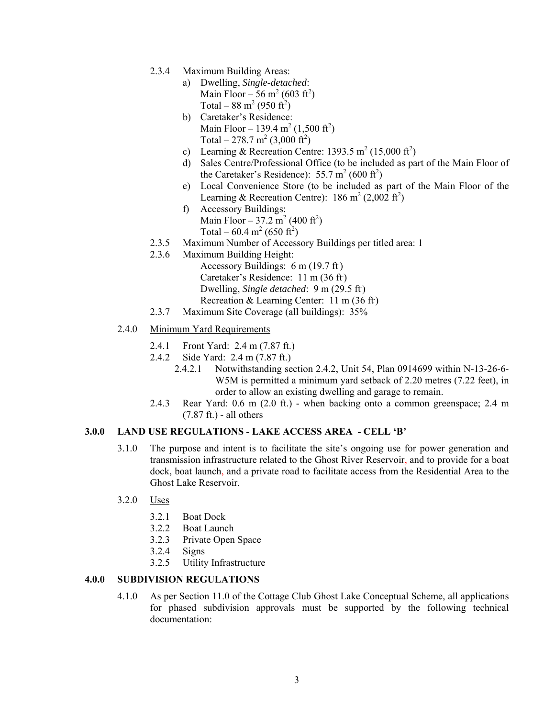- 2.3.4 Maximum Building Areas:
	- a) Dwelling, *Single-detached*: Main Floor – 56 m<sup>2</sup> (603 ft<sup>2</sup>) Total –  $88 \text{ m}^2 (950 \text{ ft}^2)$
	- b) Caretaker's Residence: Main Floor – 139.4 m<sup>2</sup> (1,500 ft<sup>2</sup>) Total – 278.7 m<sup>2</sup> (3,000 ft<sup>2</sup>)
	- c) Learning & Recreation Centre: 1393.5 m<sup>2</sup> (15,000 ft<sup>2</sup>)
	- d) Sales Centre/Professional Office (to be included as part of the Main Floor of the Caretaker's Residence):  $55.7 \text{ m}^2 (600 \text{ ft}^2)$
	- e) Local Convenience Store (to be included as part of the Main Floor of the Learning & Recreation Centre):  $186 \text{ m}^2 (2,002 \text{ ft}^2)$
	- f) Accessory Buildings: Main Floor – 37.2 m<sup>2</sup> (400 ft<sup>2</sup>) Total – 60.4 m<sup>2</sup> (650 ft<sup>2</sup>)
- 2.3.5 Maximum Number of Accessory Buildings per titled area: 1
- 2.3.6 Maximum Building Height:
	- Accessory Buildings: 6 m (19.7 ft)
	- Caretaker's Residence: 11 m (36 ft)
	- Dwelling, *Single detached*: 9 m (29.5 ft)
	- Recreation & Learning Center: 11 m (36 ft)
- 2.3.7 Maximum Site Coverage (all buildings): 35%
- 2.4.0 Minimum Yard Requirements
	- 2.4.1 Front Yard: 2.4 m (7.87 ft.)
	- 2.4.2 Side Yard: 2.4 m (7.87 ft.)
		- 2.4.2.1 Notwithstanding section 2.4.2, Unit 54, Plan 0914699 within N-13-26-6- W5M is permitted a minimum yard setback of 2.20 metres (7.22 feet), in order to allow an existing dwelling and garage to remain.
	- 2.4.3 Rear Yard: 0.6 m (2.0 ft.) when backing onto a common greenspace; 2.4 m  $(7.87 \text{ ft.})$  - all others

#### **3.0.0 LAND USE REGULATIONS - LAKE ACCESS AREA - CELL 'B'**

- 3.1.0 The purpose and intent is to facilitate the site's ongoing use for power generation and transmission infrastructure related to the Ghost River Reservoir, and to provide for a boat dock, boat launch, and a private road to facilitate access from the Residential Area to the Ghost Lake Reservoir.
- 3.2.0 Uses
	- 3.2.1 Boat Dock
	- 3.2.2 Boat Launch
	- 3.2.3 Private Open Space
	- 3.2.4 Signs
	- 3.2.5 Utility Infrastructure

### **4.0.0 SUBDIVISION REGULATIONS**

4.1.0 As per Section 11.0 of the Cottage Club Ghost Lake Conceptual Scheme, all applications for phased subdivision approvals must be supported by the following technical documentation: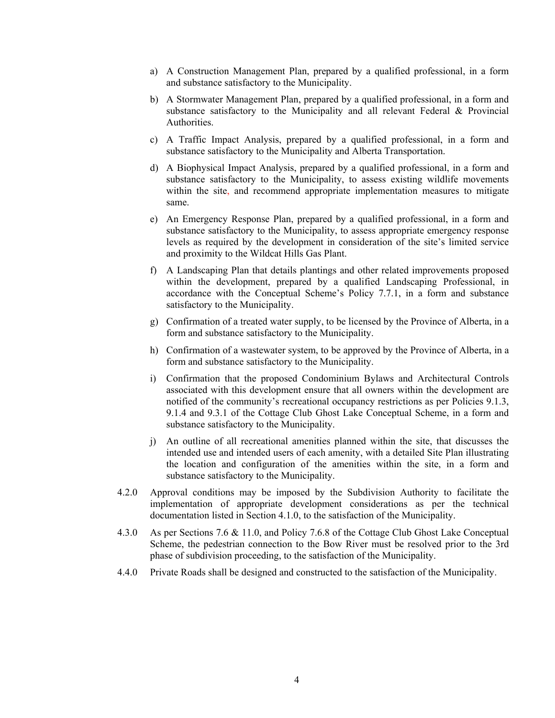- a) A Construction Management Plan, prepared by a qualified professional, in a form and substance satisfactory to the Municipality.
- b) A Stormwater Management Plan, prepared by a qualified professional, in a form and substance satisfactory to the Municipality and all relevant Federal & Provincial Authorities.
- c) A Traffic Impact Analysis, prepared by a qualified professional, in a form and substance satisfactory to the Municipality and Alberta Transportation.
- d) A Biophysical Impact Analysis, prepared by a qualified professional, in a form and substance satisfactory to the Municipality, to assess existing wildlife movements within the site, and recommend appropriate implementation measures to mitigate same.
- e) An Emergency Response Plan, prepared by a qualified professional, in a form and substance satisfactory to the Municipality, to assess appropriate emergency response levels as required by the development in consideration of the site's limited service and proximity to the Wildcat Hills Gas Plant.
- f) A Landscaping Plan that details plantings and other related improvements proposed within the development, prepared by a qualified Landscaping Professional, in accordance with the Conceptual Scheme's Policy 7.7.1, in a form and substance satisfactory to the Municipality.
- g) Confirmation of a treated water supply, to be licensed by the Province of Alberta, in a form and substance satisfactory to the Municipality.
- h) Confirmation of a wastewater system, to be approved by the Province of Alberta, in a form and substance satisfactory to the Municipality.
- i) Confirmation that the proposed Condominium Bylaws and Architectural Controls associated with this development ensure that all owners within the development are notified of the community's recreational occupancy restrictions as per Policies 9.1.3, 9.1.4 and 9.3.1 of the Cottage Club Ghost Lake Conceptual Scheme, in a form and substance satisfactory to the Municipality.
- j) An outline of all recreational amenities planned within the site, that discusses the intended use and intended users of each amenity, with a detailed Site Plan illustrating the location and configuration of the amenities within the site, in a form and substance satisfactory to the Municipality.
- 4.2.0 Approval conditions may be imposed by the Subdivision Authority to facilitate the implementation of appropriate development considerations as per the technical documentation listed in Section 4.1.0, to the satisfaction of the Municipality.
- 4.3.0 As per Sections 7.6 & 11.0, and Policy 7.6.8 of the Cottage Club Ghost Lake Conceptual Scheme, the pedestrian connection to the Bow River must be resolved prior to the 3rd phase of subdivision proceeding, to the satisfaction of the Municipality.
- 4.4.0 Private Roads shall be designed and constructed to the satisfaction of the Municipality.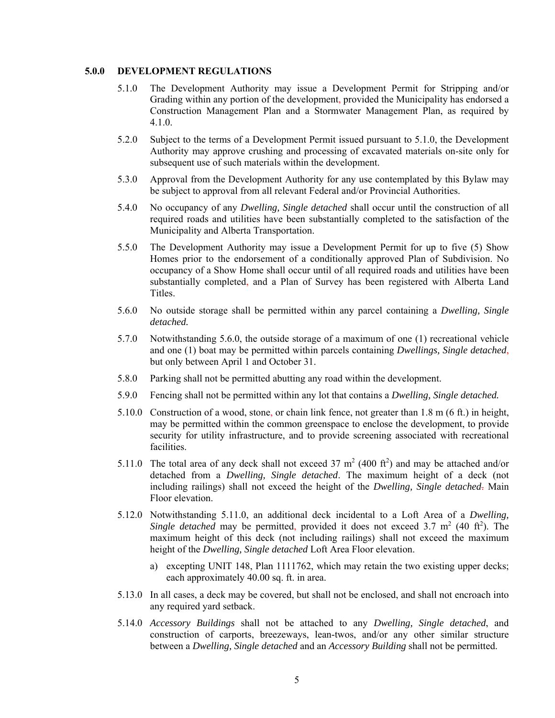#### **5.0.0 DEVELOPMENT REGULATIONS**

- 5.1.0 The Development Authority may issue a Development Permit for Stripping and/or Grading within any portion of the development, provided the Municipality has endorsed a Construction Management Plan and a Stormwater Management Plan, as required by 4.1.0.
- 5.2.0 Subject to the terms of a Development Permit issued pursuant to 5.1.0, the Development Authority may approve crushing and processing of excavated materials on-site only for subsequent use of such materials within the development.
- 5.3.0 Approval from the Development Authority for any use contemplated by this Bylaw may be subject to approval from all relevant Federal and/or Provincial Authorities.
- 5.4.0 No occupancy of any *Dwelling, Single detached* shall occur until the construction of all required roads and utilities have been substantially completed to the satisfaction of the Municipality and Alberta Transportation.
- 5.5.0 The Development Authority may issue a Development Permit for up to five (5) Show Homes prior to the endorsement of a conditionally approved Plan of Subdivision. No occupancy of a Show Home shall occur until of all required roads and utilities have been substantially completed, and a Plan of Survey has been registered with Alberta Land Titles.
- 5.6.0 No outside storage shall be permitted within any parcel containing a *Dwelling, Single detached.*
- 5.7.0 Notwithstanding 5.6.0, the outside storage of a maximum of one (1) recreational vehicle and one (1) boat may be permitted within parcels containing *Dwellings, Single detached*, but only between April 1 and October 31.
- 5.8.0 Parking shall not be permitted abutting any road within the development.
- 5.9.0 Fencing shall not be permitted within any lot that contains a *Dwelling, Single detached.*
- 5.10.0 Construction of a wood, stone, or chain link fence, not greater than 1.8 m (6 ft.) in height, may be permitted within the common greenspace to enclose the development, to provide security for utility infrastructure, and to provide screening associated with recreational facilities.
- 5.11.0 The total area of any deck shall not exceed  $37 \text{ m}^2$  (400 ft<sup>2</sup>) and may be attached and/or detached from a *Dwelling, Single detached*. The maximum height of a deck (not including railings) shall not exceed the height of the *Dwelling, Single detached*. Main Floor elevation.
- 5.12.0 Notwithstanding 5.11.0, an additional deck incidental to a Loft Area of a *Dwelling,*  Single detached may be permitted, provided it does not exceed  $3.7 \text{ m}^2$  (40 ft<sup>2</sup>). The maximum height of this deck (not including railings) shall not exceed the maximum height of the *Dwelling, Single detached* Loft Area Floor elevation.
	- a) excepting UNIT 148, Plan 1111762, which may retain the two existing upper decks; each approximately 40.00 sq. ft. in area.
- 5.13.0 In all cases, a deck may be covered, but shall not be enclosed, and shall not encroach into any required yard setback.
- 5.14.0 *Accessory Buildings* shall not be attached to any *Dwelling, Single detached*, and construction of carports, breezeways, lean-twos, and/or any other similar structure between a *Dwelling, Single detached* and an *Accessory Building* shall not be permitted.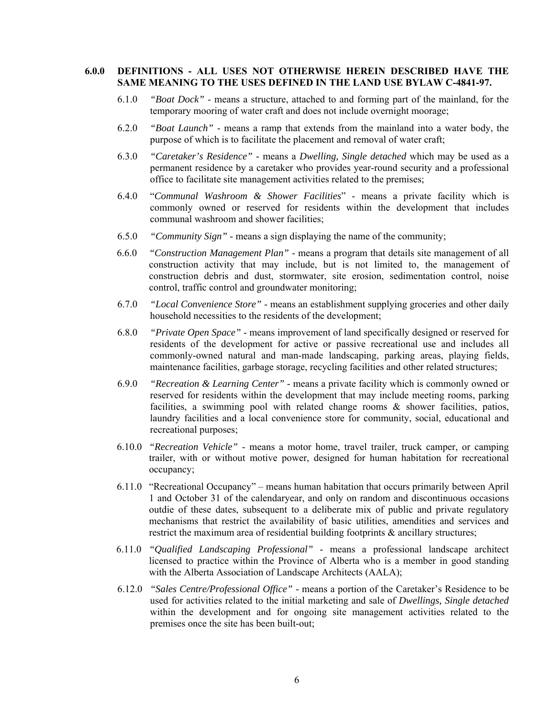## **6.0.0 DEFINITIONS - ALL USES NOT OTHERWISE HEREIN DESCRIBED HAVE THE SAME MEANING TO THE USES DEFINED IN THE LAND USE BYLAW C-4841-97.**

- 6.1.0 *"Boat Dock"* means a structure, attached to and forming part of the mainland, for the temporary mooring of water craft and does not include overnight moorage;
- 6.2.0 *"Boat Launch"* means a ramp that extends from the mainland into a water body, the purpose of which is to facilitate the placement and removal of water craft;
- 6.3.0 *"Caretaker's Residence"* means a *Dwelling, Single detached* which may be used as a permanent residence by a caretaker who provides year-round security and a professional office to facilitate site management activities related to the premises;
- 6.4.0 "*Communal Washroom & Shower Facilities*" means a private facility which is commonly owned or reserved for residents within the development that includes communal washroom and shower facilities;
- 6.5.0 *"Community Sign"* means a sign displaying the name of the community;
- 6.6.0 *"Construction Management Plan"* means a program that details site management of all construction activity that may include, but is not limited to, the management of construction debris and dust, stormwater, site erosion, sedimentation control, noise control, traffic control and groundwater monitoring;
- 6.7.0 *"Local Convenience Store"* means an establishment supplying groceries and other daily household necessities to the residents of the development:
- 6.8.0 *"Private Open Space"* means improvement of land specifically designed or reserved for residents of the development for active or passive recreational use and includes all commonly-owned natural and man-made landscaping, parking areas, playing fields, maintenance facilities, garbage storage, recycling facilities and other related structures;
- 6.9.0 *"Recreation & Learning Center"* means a private facility which is commonly owned or reserved for residents within the development that may include meeting rooms, parking facilities, a swimming pool with related change rooms & shower facilities, patios, laundry facilities and a local convenience store for community, social, educational and recreational purposes;
- 6.10.0 *"Recreation Vehicle"* means a motor home, travel trailer, truck camper, or camping trailer, with or without motive power, designed for human habitation for recreational occupancy;
- 6.11.0 "Recreational Occupancy" means human habitation that occurs primarily between April 1 and October 31 of the calendaryear, and only on random and discontinuous occasions outdie of these dates, subsequent to a deliberate mix of public and private regulatory mechanisms that restrict the availability of basic utilities, amendities and services and restrict the maximum area of residential building footprints & ancillary structures;
- 6.11.0 *"Qualified Landscaping Professional"* means a professional landscape architect licensed to practice within the Province of Alberta who is a member in good standing with the Alberta Association of Landscape Architects (AALA);
- 6.12.0 *"Sales Centre/Professional Office"* means a portion of the Caretaker's Residence to be used for activities related to the initial marketing and sale of *Dwellings, Single detached* within the development and for ongoing site management activities related to the premises once the site has been built-out;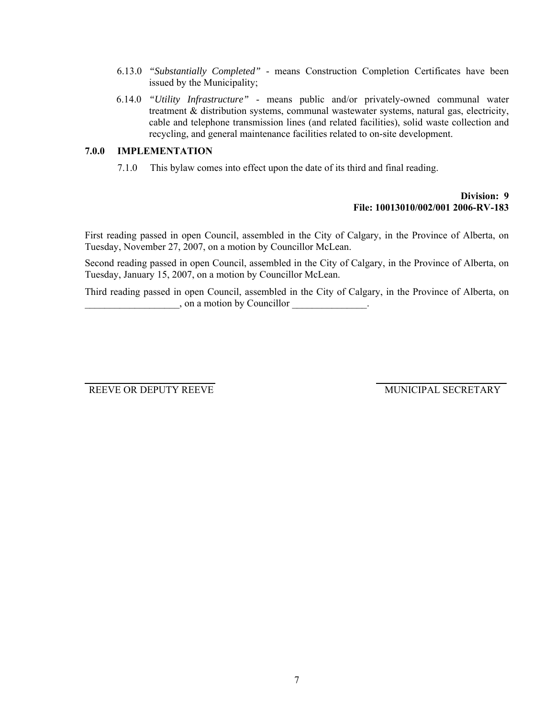- 6.13.0 *"Substantially Completed"* means Construction Completion Certificates have been issued by the Municipality;
- 6.14.0 *"Utility Infrastructure"* means public and/or privately-owned communal water treatment & distribution systems, communal wastewater systems, natural gas, electricity, cable and telephone transmission lines (and related facilities), solid waste collection and recycling, and general maintenance facilities related to on-site development.

## **7.0.0 IMPLEMENTATION**

7.1.0 This bylaw comes into effect upon the date of its third and final reading.

# **Division: 9 File: 10013010/002/001 2006-RV-183**

First reading passed in open Council, assembled in the City of Calgary, in the Province of Alberta, on Tuesday, November 27, 2007, on a motion by Councillor McLean.

Second reading passed in open Council, assembled in the City of Calgary, in the Province of Alberta, on Tuesday, January 15, 2007, on a motion by Councillor McLean.

Third reading passed in open Council, assembled in the City of Calgary, in the Province of Alberta, on  $\Box$ , on a motion by Councillor

REEVE OR DEPUTY REEVE MUNICIPAL SECRETARY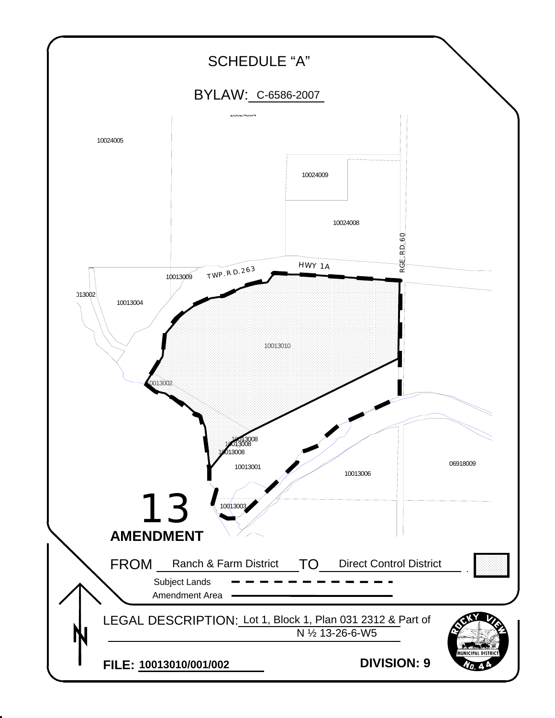